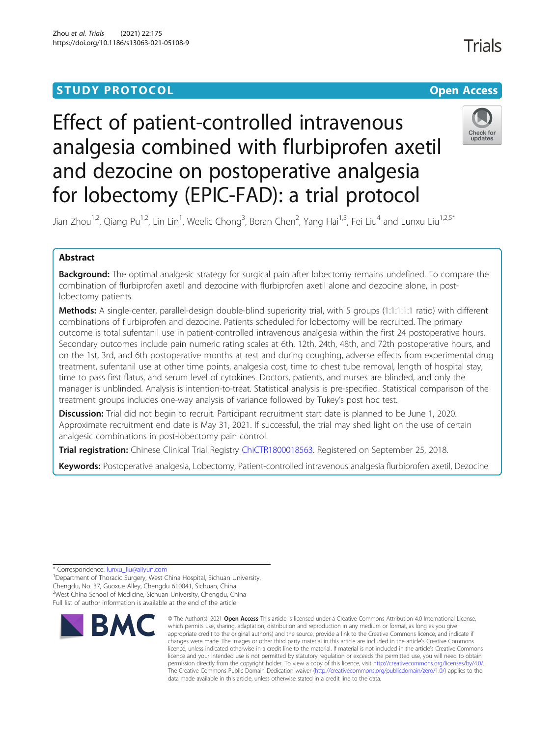# **STUDY PROTOCOL CONSUMING THE RESERVE ACCESS**

# Effect of patient-controlled intravenous analgesia combined with flurbiprofen axetil and dezocine on postoperative analgesia for lobectomy (EPIC-FAD): a trial protocol





Jian Zhou<sup>1,2</sup>, Qiang Pu<sup>1,2</sup>, Lin Lin<sup>1</sup>, Weelic Chong<sup>3</sup>, Boran Chen<sup>2</sup>, Yang Hai<sup>1,3</sup>, Fei Liu<sup>4</sup> and Lunxu Liu<sup>1,2,5\*</sup>

# Abstract

Background: The optimal analgesic strategy for surgical pain after lobectomy remains undefined. To compare the combination of flurbiprofen axetil and dezocine with flurbiprofen axetil alone and dezocine alone, in postlobectomy patients.

Methods: A single-center, parallel-design double-blind superiority trial, with 5 groups (1:1:1:1:1 ratio) with different combinations of flurbiprofen and dezocine. Patients scheduled for lobectomy will be recruited. The primary outcome is total sufentanil use in patient-controlled intravenous analgesia within the first 24 postoperative hours. Secondary outcomes include pain numeric rating scales at 6th, 12th, 24th, 48th, and 72th postoperative hours, and on the 1st, 3rd, and 6th postoperative months at rest and during coughing, adverse effects from experimental drug treatment, sufentanil use at other time points, analgesia cost, time to chest tube removal, length of hospital stay, time to pass first flatus, and serum level of cytokines. Doctors, patients, and nurses are blinded, and only the manager is unblinded. Analysis is intention-to-treat. Statistical analysis is pre-specified. Statistical comparison of the treatment groups includes one-way analysis of variance followed by Tukey's post hoc test.

**Discussion:** Trial did not begin to recruit. Participant recruitment start date is planned to be June 1, 2020. Approximate recruitment end date is May 31, 2021. If successful, the trial may shed light on the use of certain analgesic combinations in post-lobectomy pain control.

Trial registration: Chinese Clinical Trial Registry [ChiCTR1800018563.](http://www.chictr.org.cn/showproj.aspx?proj=31350) Registered on September 25, 2018.

Keywords: Postoperative analgesia, Lobectomy, Patient-controlled intravenous analgesia flurbiprofen axetil, Dezocine

<sup>1</sup>Department of Thoracic Surgery, West China Hospital, Sichuan University, Chengdu, No. 37, Guoxue Alley, Chengdu 610041, Sichuan, China 2 West China School of Medicine, Sichuan University, Chengdu, China Full list of author information is available at the end of the article



<sup>©</sup> The Author(s), 2021 **Open Access** This article is licensed under a Creative Commons Attribution 4.0 International License, which permits use, sharing, adaptation, distribution and reproduction in any medium or format, as long as you give appropriate credit to the original author(s) and the source, provide a link to the Creative Commons licence, and indicate if changes were made. The images or other third party material in this article are included in the article's Creative Commons licence, unless indicated otherwise in a credit line to the material. If material is not included in the article's Creative Commons licence and your intended use is not permitted by statutory regulation or exceeds the permitted use, you will need to obtain permission directly from the copyright holder. To view a copy of this licence, visit [http://creativecommons.org/licenses/by/4.0/.](http://creativecommons.org/licenses/by/4.0/) The Creative Commons Public Domain Dedication waiver [\(http://creativecommons.org/publicdomain/zero/1.0/](http://creativecommons.org/publicdomain/zero/1.0/)) applies to the data made available in this article, unless otherwise stated in a credit line to the data.

**Trials** 

<sup>\*</sup> Correspondence: [lunxu\\_liu@aliyun.com](mailto:lunxu_liu@aliyun.com) <sup>1</sup>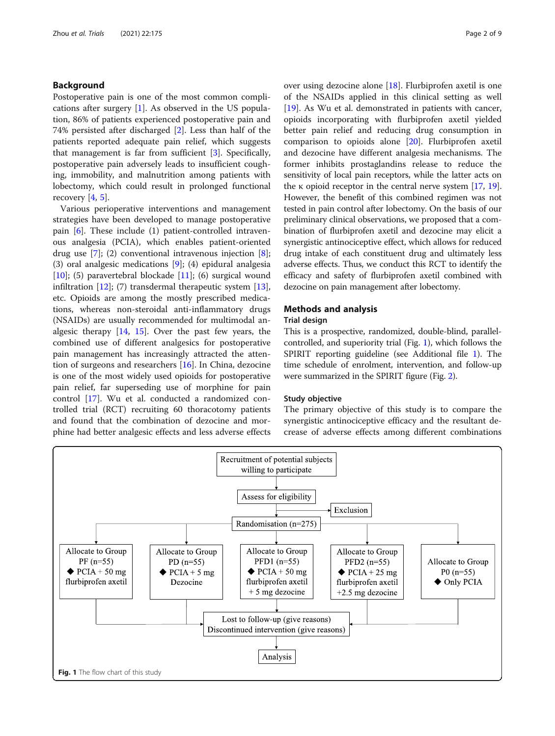# <span id="page-1-0"></span>Background

Postoperative pain is one of the most common complications after surgery [[1\]](#page-7-0). As observed in the US population, 86% of patients experienced postoperative pain and 74% persisted after discharged [[2\]](#page-7-0). Less than half of the patients reported adequate pain relief, which suggests that management is far from sufficient [[3\]](#page-7-0). Specifically, postoperative pain adversely leads to insufficient coughing, immobility, and malnutrition among patients with lobectomy, which could result in prolonged functional recovery  $[4, 5]$  $[4, 5]$  $[4, 5]$  $[4, 5]$ .

Various perioperative interventions and management strategies have been developed to manage postoperative pain [[6\]](#page-7-0). These include (1) patient-controlled intravenous analgesia (PCIA), which enables patient-oriented drug use [\[7](#page-7-0)]; (2) conventional intravenous injection [\[8](#page-7-0)]; (3) oral analgesic medications [[9\]](#page-7-0); (4) epidural analgesia [[10\]](#page-7-0); (5) paravertebral blockade [[11\]](#page-7-0); (6) surgical wound infiltration [[12](#page-7-0)]; (7) transdermal therapeutic system [\[13](#page-7-0)], etc. Opioids are among the mostly prescribed medications, whereas non-steroidal anti-inflammatory drugs (NSAIDs) are usually recommended for multimodal analgesic therapy [[14](#page-7-0), [15\]](#page-7-0). Over the past few years, the combined use of different analgesics for postoperative pain management has increasingly attracted the attention of surgeons and researchers [[16\]](#page-7-0). In China, dezocine is one of the most widely used opioids for postoperative pain relief, far superseding use of morphine for pain control [\[17](#page-7-0)]. Wu et al. conducted a randomized controlled trial (RCT) recruiting 60 thoracotomy patients and found that the combination of dezocine and morphine had better analgesic effects and less adverse effects over using dezocine alone [\[18\]](#page-7-0). Flurbiprofen axetil is one of the NSAIDs applied in this clinical setting as well [[19\]](#page-7-0). As Wu et al. demonstrated in patients with cancer, opioids incorporating with flurbiprofen axetil yielded better pain relief and reducing drug consumption in comparison to opioids alone [[20\]](#page-7-0). Flurbiprofen axetil and dezocine have different analgesia mechanisms. The former inhibits prostaglandins release to reduce the sensitivity of local pain receptors, while the latter acts on the  $\kappa$  opioid receptor in the central nerve system [[17,](#page-7-0) [19](#page-7-0)]. However, the benefit of this combined regimen was not tested in pain control after lobectomy. On the basis of our preliminary clinical observations, we proposed that a combination of flurbiprofen axetil and dezocine may elicit a synergistic antinociceptive effect, which allows for reduced drug intake of each constituent drug and ultimately less adverse effects. Thus, we conduct this RCT to identify the efficacy and safety of flurbiprofen axetil combined with dezocine on pain management after lobectomy.

# Methods and analysis

#### Trial design

This is a prospective, randomized, double-blind, parallelcontrolled, and superiority trial (Fig. 1), which follows the SPIRIT reporting guideline (see Additional file [1](#page-6-0)). The time schedule of enrolment, intervention, and follow-up were summarized in the SPIRIT figure (Fig. [2\)](#page-2-0).

#### Study objective

The primary objective of this study is to compare the synergistic antinociceptive efficacy and the resultant decrease of adverse effects among different combinations

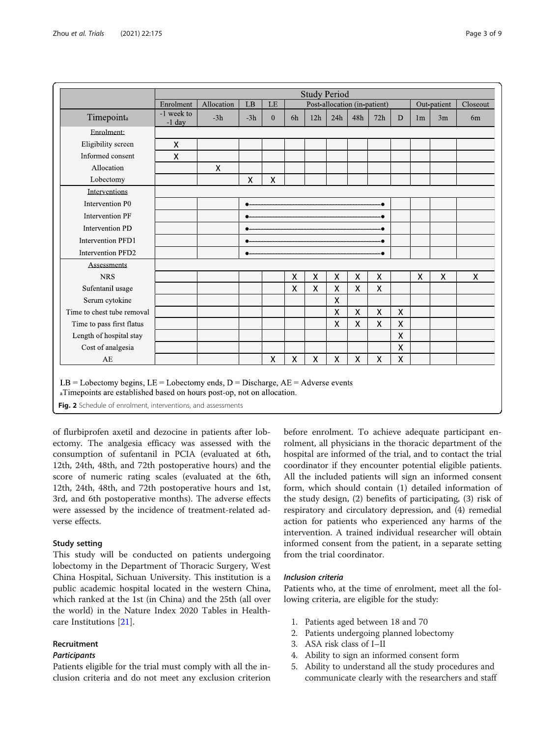<span id="page-2-0"></span>

|                            | <b>Study Period</b>    |            |       |              |                              |     |     |              |                           |   |                |    |                           |
|----------------------------|------------------------|------------|-------|--------------|------------------------------|-----|-----|--------------|---------------------------|---|----------------|----|---------------------------|
|                            | Enrolment              | Allocation | LB    | LE           | Post-allocation (in-patient) |     |     |              |                           |   | Out-patient    |    | Closeout                  |
| Timepointa                 | -1 week to<br>$-1$ day | $-3h$      | $-3h$ | $\mathbf{0}$ | 6h                           | 12h | 24h | 48h          | 72h                       | D | 1 <sub>m</sub> | 3m | 6 <sub>m</sub>            |
| Enrolment:                 |                        |            |       |              |                              |     |     |              |                           |   |                |    |                           |
| Eligibility screen         | Χ                      |            |       |              |                              |     |     |              |                           |   |                |    |                           |
| Informed consent           | Χ                      |            |       |              |                              |     |     |              |                           |   |                |    |                           |
| Allocation                 |                        | X          |       |              |                              |     |     |              |                           |   |                |    |                           |
| Lobectomy                  |                        |            | X     | X            |                              |     |     |              |                           |   |                |    |                           |
| Interventions              |                        |            |       |              |                              |     |     |              |                           |   |                |    |                           |
| Intervention P0            |                        |            |       |              |                              |     |     |              |                           |   |                |    |                           |
| <b>Intervention PF</b>     |                        |            |       |              |                              |     |     |              |                           |   |                |    |                           |
| <b>Intervention PD</b>     |                        |            |       |              |                              |     |     |              |                           |   |                |    |                           |
| <b>Intervention PFD1</b>   |                        |            |       |              |                              |     |     |              |                           |   |                |    |                           |
| Intervention PFD2          |                        |            |       |              |                              |     |     |              |                           |   |                |    |                           |
| Assessments                |                        |            |       |              |                              |     |     |              |                           |   |                |    |                           |
| <b>NRS</b>                 |                        |            |       |              | X                            | X   | X   | X            | $\boldsymbol{\mathsf{X}}$ |   | Χ              | X  | $\boldsymbol{\mathsf{X}}$ |
| Sufentanil usage           |                        |            |       |              | Χ                            | X   | Χ   | $\mathsf{X}$ | $\mathsf{\chi}$           |   |                |    |                           |
| Serum cytokine             |                        |            |       |              |                              |     | Χ   |              |                           |   |                |    |                           |
| Time to chest tube removal |                        |            |       |              |                              |     | X   | X            | $\pmb{\mathsf{X}}$        | X |                |    |                           |
| Time to pass first flatus  |                        |            |       |              |                              |     | X   | X            | $\mathsf{X}$              | X |                |    |                           |
| Length of hospital stay    |                        |            |       |              |                              |     |     |              |                           | X |                |    |                           |
| Cost of analgesia          |                        |            |       |              |                              |     |     |              |                           | Χ |                |    |                           |
| AE                         |                        |            |       | X            | Χ                            | Χ   | X   | X            | $\pmb{\chi}$              | X |                |    |                           |

 $LB =$  Lobectomy begins,  $LE =$  Lobectomy ends,  $D =$  Discharge,  $AE =$  Adverse events

aTimepoints are established based on hours post-op, not on allocation.

Fig. 2 Schedule of enrolment, interventions, and assessments

of flurbiprofen axetil and dezocine in patients after lobectomy. The analgesia efficacy was assessed with the consumption of sufentanil in PCIA (evaluated at 6th, 12th, 24th, 48th, and 72th postoperative hours) and the score of numeric rating scales (evaluated at the 6th, 12th, 24th, 48th, and 72th postoperative hours and 1st, 3rd, and 6th postoperative months). The adverse effects were assessed by the incidence of treatment-related adverse effects.

# Study setting

This study will be conducted on patients undergoing lobectomy in the Department of Thoracic Surgery, West China Hospital, Sichuan University. This institution is a public academic hospital located in the western China, which ranked at the 1st (in China) and the 25th (all over the world) in the Nature Index 2020 Tables in Healthcare Institutions [\[21](#page-7-0)].

# Recruitment

# **Participants**

Patients eligible for the trial must comply with all the inclusion criteria and do not meet any exclusion criterion before enrolment. To achieve adequate participant enrolment, all physicians in the thoracic department of the hospital are informed of the trial, and to contact the trial coordinator if they encounter potential eligible patients. All the included patients will sign an informed consent form, which should contain (1) detailed information of the study design, (2) benefits of participating, (3) risk of respiratory and circulatory depression, and (4) remedial action for patients who experienced any harms of the intervention. A trained individual researcher will obtain informed consent from the patient, in a separate setting from the trial coordinator.

# Inclusion criteria

Patients who, at the time of enrolment, meet all the following criteria, are eligible for the study:

- 1. Patients aged between 18 and 70
- 2. Patients undergoing planned lobectomy
- 3. ASA risk class of I–II
- 4. Ability to sign an informed consent form
- 5. Ability to understand all the study procedures and communicate clearly with the researchers and staff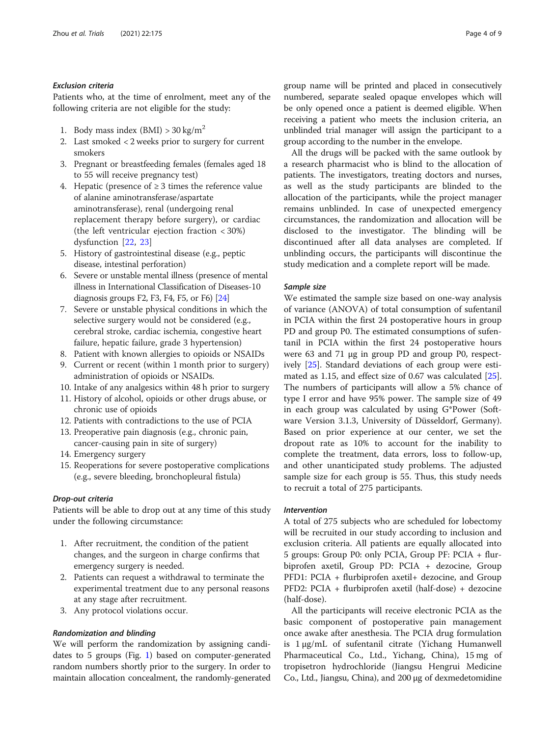#### Exclusion criteria

Patients who, at the time of enrolment, meet any of the following criteria are not eligible for the study:

- 1. Body mass index  $(BMI) > 30$  kg/m<sup>2</sup>
- 2. Last smoked < 2 weeks prior to surgery for current smokers
- 3. Pregnant or breastfeeding females (females aged 18 to 55 will receive pregnancy test)
- 4. Hepatic (presence of  $\geq$  3 times the reference value of alanine aminotransferase/aspartate aminotransferase), renal (undergoing renal replacement therapy before surgery), or cardiac (the left ventricular ejection fraction < 30%) dysfunction [\[22](#page-7-0), [23](#page-7-0)]
- 5. History of gastrointestinal disease (e.g., peptic disease, intestinal perforation)
- 6. Severe or unstable mental illness (presence of mental illness in International Classification of Diseases-10 diagnosis groups F2, F3, F4, F5, or F6) [\[24\]](#page-7-0)
- 7. Severe or unstable physical conditions in which the selective surgery would not be considered (e.g., cerebral stroke, cardiac ischemia, congestive heart failure, hepatic failure, grade 3 hypertension)
- 8. Patient with known allergies to opioids or NSAIDs
- 9. Current or recent (within 1 month prior to surgery) administration of opioids or NSAIDs.
- 10. Intake of any analgesics within 48 h prior to surgery
- 11. History of alcohol, opioids or other drugs abuse, or chronic use of opioids
- 12. Patients with contradictions to the use of PCIA
- 13. Preoperative pain diagnosis (e.g., chronic pain, cancer-causing pain in site of surgery)
- 14. Emergency surgery
- 15. Reoperations for severe postoperative complications (e.g., severe bleeding, bronchopleural fistula)

#### Drop-out criteria

Patients will be able to drop out at any time of this study under the following circumstance:

- 1. After recruitment, the condition of the patient changes, and the surgeon in charge confirms that emergency surgery is needed.
- 2. Patients can request a withdrawal to terminate the experimental treatment due to any personal reasons at any stage after recruitment.
- 3. Any protocol violations occur.

# Randomization and blinding

We will perform the randomization by assigning candidates to 5 groups (Fig. [1\)](#page-1-0) based on computer-generated random numbers shortly prior to the surgery. In order to maintain allocation concealment, the randomly-generated group name will be printed and placed in consecutively numbered, separate sealed opaque envelopes which will be only opened once a patient is deemed eligible. When receiving a patient who meets the inclusion criteria, an unblinded trial manager will assign the participant to a group according to the number in the envelope.

All the drugs will be packed with the same outlook by a research pharmacist who is blind to the allocation of patients. The investigators, treating doctors and nurses, as well as the study participants are blinded to the allocation of the participants, while the project manager remains unblinded. In case of unexpected emergency circumstances, the randomization and allocation will be disclosed to the investigator. The blinding will be discontinued after all data analyses are completed. If unblinding occurs, the participants will discontinue the study medication and a complete report will be made.

#### Sample size

We estimated the sample size based on one-way analysis of variance (ANOVA) of total consumption of sufentanil in PCIA within the first 24 postoperative hours in group PD and group P0. The estimated consumptions of sufentanil in PCIA within the first 24 postoperative hours were 63 and 71 μg in group PD and group P0, respectively [\[25](#page-7-0)]. Standard deviations of each group were estimated as 1.15, and effect size of 0.67 was calculated [\[25](#page-7-0)]. The numbers of participants will allow a 5% chance of type I error and have 95% power. The sample size of 49 in each group was calculated by using G\*Power (Software Version 3.1.3, University of Düsseldorf, Germany). Based on prior experience at our center, we set the dropout rate as 10% to account for the inability to complete the treatment, data errors, loss to follow-up, and other unanticipated study problems. The adjusted sample size for each group is 55. Thus, this study needs to recruit a total of 275 participants.

#### Intervention

A total of 275 subjects who are scheduled for lobectomy will be recruited in our study according to inclusion and exclusion criteria. All patients are equally allocated into 5 groups: Group P0: only PCIA, Group PF: PCIA + flurbiprofen axetil, Group PD: PCIA + dezocine, Group PFD1: PCIA + flurbiprofen axetil+ dezocine, and Group PFD2: PCIA + flurbiprofen axetil (half-dose) + dezocine (half-dose).

All the participants will receive electronic PCIA as the basic component of postoperative pain management once awake after anesthesia. The PCIA drug formulation is 1 μg/mL of sufentanil citrate (Yichang Humanwell Pharmaceutical Co., Ltd., Yichang, China), 15 mg of tropisetron hydrochloride (Jiangsu Hengrui Medicine Co., Ltd., Jiangsu, China), and 200 μg of dexmedetomidine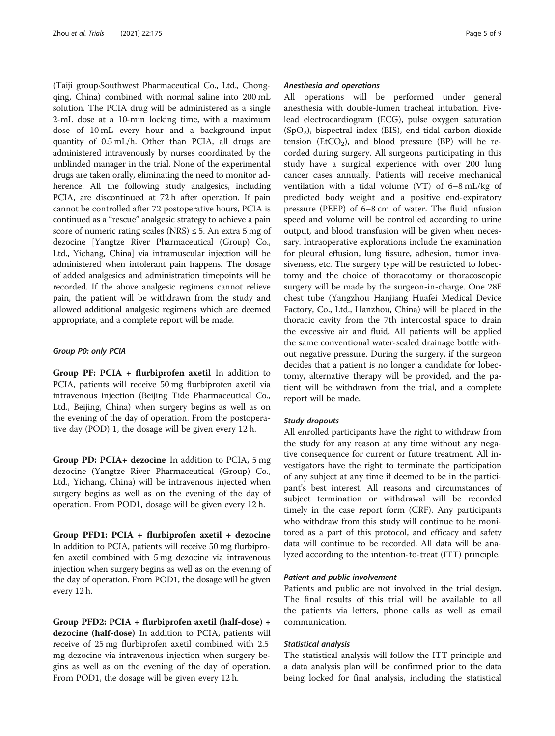(Taiji group·Southwest Pharmaceutical Co., Ltd., Chongqing, China) combined with normal saline into 200 mL solution. The PCIA drug will be administered as a single 2-mL dose at a 10-min locking time, with a maximum dose of 10 mL every hour and a background input quantity of 0.5 mL/h. Other than PCIA, all drugs are administered intravenously by nurses coordinated by the unblinded manager in the trial. None of the experimental drugs are taken orally, eliminating the need to monitor adherence. All the following study analgesics, including PCIA, are discontinued at 72 h after operation. If pain cannot be controlled after 72 postoperative hours, PCIA is continued as a "rescue" analgesic strategy to achieve a pain score of numeric rating scales (NRS)  $\leq$  5. An extra 5 mg of dezocine [Yangtze River Pharmaceutical (Group) Co., Ltd., Yichang, China] via intramuscular injection will be administered when intolerant pain happens. The dosage of added analgesics and administration timepoints will be recorded. If the above analgesic regimens cannot relieve pain, the patient will be withdrawn from the study and allowed additional analgesic regimens which are deemed appropriate, and a complete report will be made.

#### Group P0: only PCIA

Group PF: PCIA + flurbiprofen axetil In addition to PCIA, patients will receive 50 mg flurbiprofen axetil via intravenous injection (Beijing Tide Pharmaceutical Co., Ltd., Beijing, China) when surgery begins as well as on the evening of the day of operation. From the postoperative day (POD) 1, the dosage will be given every 12 h.

Group PD: PCIA+ dezocine In addition to PCIA, 5 mg dezocine (Yangtze River Pharmaceutical (Group) Co., Ltd., Yichang, China) will be intravenous injected when surgery begins as well as on the evening of the day of operation. From POD1, dosage will be given every 12 h.

Group PFD1: PCIA + flurbiprofen axetil + dezocine In addition to PCIA, patients will receive 50 mg flurbiprofen axetil combined with 5 mg dezocine via intravenous injection when surgery begins as well as on the evening of the day of operation. From POD1, the dosage will be given every 12 h.

Group PFD2: PCIA + flurbiprofen axetil (half-dose) + dezocine (half-dose) In addition to PCIA, patients will receive of 25 mg flurbiprofen axetil combined with 2.5 mg dezocine via intravenous injection when surgery begins as well as on the evening of the day of operation. From POD1, the dosage will be given every 12 h.

#### Anesthesia and operations

All operations will be performed under general anesthesia with double-lumen tracheal intubation. Fivelead electrocardiogram (ECG), pulse oxygen saturation (SpO2), bispectral index (BIS), end-tidal carbon dioxide tension (EtCO<sub>2</sub>), and blood pressure (BP) will be recorded during surgery. All surgeons participating in this study have a surgical experience with over 200 lung cancer cases annually. Patients will receive mechanical ventilation with a tidal volume (VT) of 6–8 mL/kg of predicted body weight and a positive end-expiratory pressure (PEEP) of 6–8 cm of water. The fluid infusion speed and volume will be controlled according to urine output, and blood transfusion will be given when necessary. Intraoperative explorations include the examination for pleural effusion, lung fissure, adhesion, tumor invasiveness, etc. The surgery type will be restricted to lobectomy and the choice of thoracotomy or thoracoscopic surgery will be made by the surgeon-in-charge. One 28F chest tube (Yangzhou Hanjiang Huafei Medical Device Factory, Co., Ltd., Hanzhou, China) will be placed in the thoracic cavity from the 7th intercostal space to drain the excessive air and fluid. All patients will be applied the same conventional water-sealed drainage bottle without negative pressure. During the surgery, if the surgeon decides that a patient is no longer a candidate for lobectomy, alternative therapy will be provided, and the patient will be withdrawn from the trial, and a complete report will be made.

#### Study dropouts

All enrolled participants have the right to withdraw from the study for any reason at any time without any negative consequence for current or future treatment. All investigators have the right to terminate the participation of any subject at any time if deemed to be in the participant's best interest. All reasons and circumstances of subject termination or withdrawal will be recorded timely in the case report form (CRF). Any participants who withdraw from this study will continue to be monitored as a part of this protocol, and efficacy and safety data will continue to be recorded. All data will be analyzed according to the intention-to-treat (ITT) principle.

# Patient and public involvement

Patients and public are not involved in the trial design. The final results of this trial will be available to all the patients via letters, phone calls as well as email communication.

#### Statistical analysis

The statistical analysis will follow the ITT principle and a data analysis plan will be confirmed prior to the data being locked for final analysis, including the statistical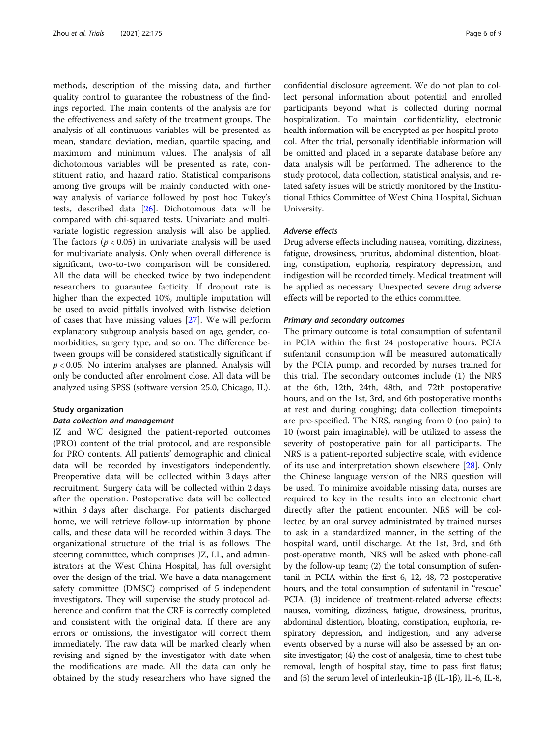methods, description of the missing data, and further quality control to guarantee the robustness of the findings reported. The main contents of the analysis are for the effectiveness and safety of the treatment groups. The analysis of all continuous variables will be presented as mean, standard deviation, median, quartile spacing, and maximum and minimum values. The analysis of all dichotomous variables will be presented as rate, constituent ratio, and hazard ratio. Statistical comparisons among five groups will be mainly conducted with oneway analysis of variance followed by post hoc Tukey's tests, described data [[26](#page-7-0)]. Dichotomous data will be compared with chi-squared tests. Univariate and multivariate logistic regression analysis will also be applied. The factors ( $p < 0.05$ ) in univariate analysis will be used for multivariate analysis. Only when overall difference is significant, two-to-two comparison will be considered. All the data will be checked twice by two independent researchers to guarantee facticity. If dropout rate is higher than the expected 10%, multiple imputation will be used to avoid pitfalls involved with listwise deletion of cases that have missing values [\[27\]](#page-7-0). We will perform explanatory subgroup analysis based on age, gender, comorbidities, surgery type, and so on. The difference between groups will be considered statistically significant if  $p < 0.05$ . No interim analyses are planned. Analysis will only be conducted after enrolment close. All data will be analyzed using SPSS (software version 25.0, Chicago, IL).

#### Study organization

#### Data collection and management

JZ and WC designed the patient-reported outcomes (PRO) content of the trial protocol, and are responsible for PRO contents. All patients' demographic and clinical data will be recorded by investigators independently. Preoperative data will be collected within 3 days after recruitment. Surgery data will be collected within 2 days after the operation. Postoperative data will be collected within 3 days after discharge. For patients discharged home, we will retrieve follow-up information by phone calls, and these data will be recorded within 3 days. The organizational structure of the trial is as follows. The steering committee, which comprises JZ, LL, and administrators at the West China Hospital, has full oversight over the design of the trial. We have a data management safety committee (DMSC) comprised of 5 independent investigators. They will supervise the study protocol adherence and confirm that the CRF is correctly completed and consistent with the original data. If there are any errors or omissions, the investigator will correct them immediately. The raw data will be marked clearly when revising and signed by the investigator with date when the modifications are made. All the data can only be obtained by the study researchers who have signed the

confidential disclosure agreement. We do not plan to collect personal information about potential and enrolled participants beyond what is collected during normal hospitalization. To maintain confidentiality, electronic health information will be encrypted as per hospital protocol. After the trial, personally identifiable information will be omitted and placed in a separate database before any data analysis will be performed. The adherence to the study protocol, data collection, statistical analysis, and related safety issues will be strictly monitored by the Institutional Ethics Committee of West China Hospital, Sichuan University.

#### Adverse effects

Drug adverse effects including nausea, vomiting, dizziness, fatigue, drowsiness, pruritus, abdominal distention, bloating, constipation, euphoria, respiratory depression, and indigestion will be recorded timely. Medical treatment will be applied as necessary. Unexpected severe drug adverse effects will be reported to the ethics committee.

#### Primary and secondary outcomes

The primary outcome is total consumption of sufentanil in PCIA within the first 24 postoperative hours. PCIA sufentanil consumption will be measured automatically by the PCIA pump, and recorded by nurses trained for this trial. The secondary outcomes include (1) the NRS at the 6th, 12th, 24th, 48th, and 72th postoperative hours, and on the 1st, 3rd, and 6th postoperative months at rest and during coughing; data collection timepoints are pre-specified. The NRS, ranging from 0 (no pain) to 10 (worst pain imaginable), will be utilized to assess the severity of postoperative pain for all participants. The NRS is a patient-reported subjective scale, with evidence of its use and interpretation shown elsewhere [\[28\]](#page-8-0). Only the Chinese language version of the NRS question will be used. To minimize avoidable missing data, nurses are required to key in the results into an electronic chart directly after the patient encounter. NRS will be collected by an oral survey administrated by trained nurses to ask in a standardized manner, in the setting of the hospital ward, until discharge. At the 1st, 3rd, and 6th post-operative month, NRS will be asked with phone-call by the follow-up team; (2) the total consumption of sufentanil in PCIA within the first 6, 12, 48, 72 postoperative hours, and the total consumption of sufentanil in "rescue" PCIA; (3) incidence of treatment-related adverse effects: nausea, vomiting, dizziness, fatigue, drowsiness, pruritus, abdominal distention, bloating, constipation, euphoria, respiratory depression, and indigestion, and any adverse events observed by a nurse will also be assessed by an onsite investigator; (4) the cost of analgesia, time to chest tube removal, length of hospital stay, time to pass first flatus; and (5) the serum level of interleukin-1β (IL-1β), IL-6, IL-8,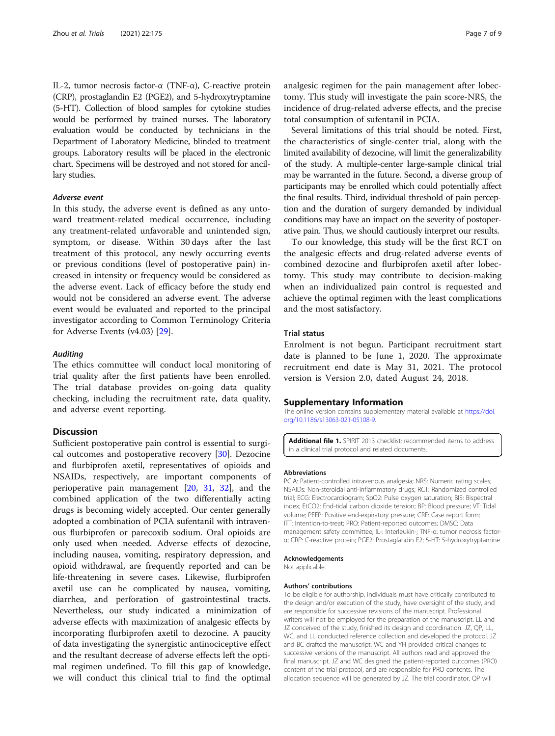<span id="page-6-0"></span>IL-2, tumor necrosis factor-α (TNF-α), C-reactive protein (CRP), prostaglandin E2 (PGE2), and 5-hydroxytryptamine (5-HT). Collection of blood samples for cytokine studies would be performed by trained nurses. The laboratory evaluation would be conducted by technicians in the Department of Laboratory Medicine, blinded to treatment groups. Laboratory results will be placed in the electronic chart. Specimens will be destroyed and not stored for ancillary studies.

#### Adverse event

In this study, the adverse event is defined as any untoward treatment-related medical occurrence, including any treatment-related unfavorable and unintended sign, symptom, or disease. Within 30 days after the last treatment of this protocol, any newly occurring events or previous conditions (level of postoperative pain) increased in intensity or frequency would be considered as the adverse event. Lack of efficacy before the study end would not be considered an adverse event. The adverse event would be evaluated and reported to the principal investigator according to Common Terminology Criteria for Adverse Events (v4.03) [[29\]](#page-8-0).

#### **Auditing**

The ethics committee will conduct local monitoring of trial quality after the first patients have been enrolled. The trial database provides on-going data quality checking, including the recruitment rate, data quality, and adverse event reporting.

# **Discussion**

Sufficient postoperative pain control is essential to surgical outcomes and postoperative recovery [[30\]](#page-8-0). Dezocine and flurbiprofen axetil, representatives of opioids and NSAIDs, respectively, are important components of perioperative pain management [[20](#page-7-0), [31](#page-8-0), [32\]](#page-8-0), and the combined application of the two differentially acting drugs is becoming widely accepted. Our center generally adopted a combination of PCIA sufentanil with intravenous flurbiprofen or parecoxib sodium. Oral opioids are only used when needed. Adverse effects of dezocine, including nausea, vomiting, respiratory depression, and opioid withdrawal, are frequently reported and can be life-threatening in severe cases. Likewise, flurbiprofen axetil use can be complicated by nausea, vomiting, diarrhea, and perforation of gastrointestinal tracts. Nevertheless, our study indicated a minimization of adverse effects with maximization of analgesic effects by incorporating flurbiprofen axetil to dezocine. A paucity of data investigating the synergistic antinociceptive effect and the resultant decrease of adverse effects left the optimal regimen undefined. To fill this gap of knowledge, we will conduct this clinical trial to find the optimal

analgesic regimen for the pain management after lobectomy. This study will investigate the pain score-NRS, the incidence of drug-related adverse effects, and the precise total consumption of sufentanil in PCIA.

Several limitations of this trial should be noted. First, the characteristics of single-center trial, along with the limited availability of dezocine, will limit the generalizability of the study. A multiple-center large-sample clinical trial may be warranted in the future. Second, a diverse group of participants may be enrolled which could potentially affect the final results. Third, individual threshold of pain perception and the duration of surgery demanded by individual conditions may have an impact on the severity of postoperative pain. Thus, we should cautiously interpret our results.

To our knowledge, this study will be the first RCT on the analgesic effects and drug-related adverse events of combined dezocine and flurbiprofen axetil after lobectomy. This study may contribute to decision-making when an individualized pain control is requested and achieve the optimal regimen with the least complications and the most satisfactory.

# Trial status

Enrolment is not begun. Participant recruitment start date is planned to be June 1, 2020. The approximate recruitment end date is May 31, 2021. The protocol version is Version 2.0, dated August 24, 2018.

#### Supplementary Information

The online version contains supplementary material available at [https://doi.](https://doi.org/10.1186/s13063-021-05108-9) [org/10.1186/s13063-021-05108-9.](https://doi.org/10.1186/s13063-021-05108-9)

Additional file 1. SPIRIT 2013 checklist: recommended items to address in a clinical trial protocol and related documents.

#### Abbreviations

PCIA: Patient-controlled intravenous analgesia; NRS: Numeric rating scales; NSAIDs: Non-steroidal anti-inflammatory drugs; RCT: Randomized controlled trial; ECG: Electrocardiogram; SpO2: Pulse oxygen saturation; BIS: Bispectral index; EtCO2: End-tidal carbon dioxide tension; BP: Blood pressure; VT: Tidal volume; PEEP: Positive end-expiratory pressure; CRF: Case report form; ITT: Intention-to-treat; PRO: Patient-reported outcomes; DMSC: Data management safety committee; IL-: Interleukin-; TNF-α: tumor necrosis factorα; CRP: C-reactive protein; PGE2: Prostaglandin E2; 5-HT: 5-hydroxytryptamine

#### Acknowledgements

Not applicable.

#### Authors' contributions

To be eligible for authorship, individuals must have critically contributed to the design and/or execution of the study, have oversight of the study, and are responsible for successive revisions of the manuscript. Professional writers will not be employed for the preparation of the manuscript. LL and JZ conceived of the study, finished its design and coordination. JZ, QP, LL, WC, and LL conducted reference collection and developed the protocol. JZ and BC drafted the manuscript. WC and YH provided critical changes to successive versions of the manuscript. All authors read and approved the final manuscript. JZ and WC designed the patient-reported outcomes (PRO) content of the trial protocol, and are responsible for PRO contents. The allocation sequence will be generated by JZ. The trial coordinator, QP will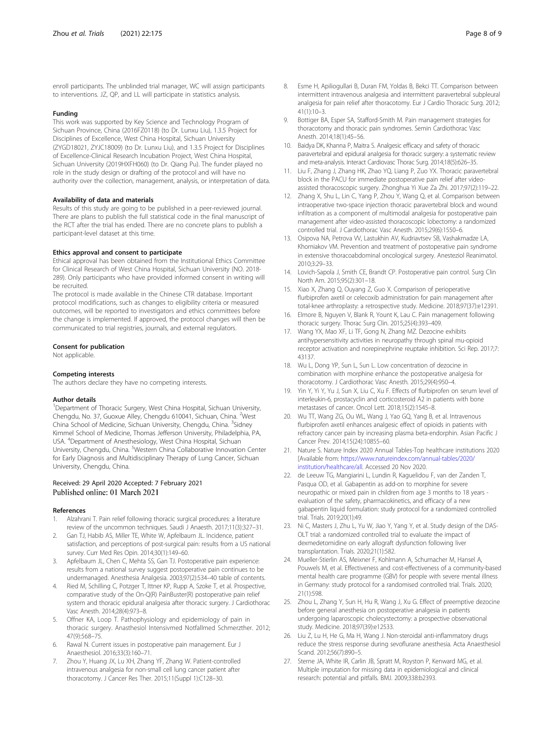<span id="page-7-0"></span>enroll participants. The unblinded trial manager, WC will assign participants to interventions. JZ, QP, and LL will participate in statistics analysis.

#### Funding

This work was supported by Key Science and Technology Program of Sichuan Province, China (2016FZ0118) (to Dr. Lunxu Liu), 1.3.5 Project for Disciplines of Excellence, West China Hospital, Sichuan University (ZYGD18021, ZYJC18009) (to Dr. Lunxu Liu), and 1.3.5 Project for Disciplines of Excellence-Clinical Research Incubation Project, West China Hospital, Sichuan University (2019HXFH060) (to Dr. Qiang Pu). The funder played no role in the study design or drafting of the protocol and will have no authority over the collection, management, analysis, or interpretation of data.

#### Availability of data and materials

Results of this study are going to be published in a peer-reviewed journal. There are plans to publish the full statistical code in the final manuscript of the RCT after the trial has ended. There are no concrete plans to publish a participant-level dataset at this time.

#### Ethics approval and consent to participate

Ethical approval has been obtained from the Institutional Ethics Committee for Clinical Research of West China Hospital, Sichuan University (NO. 2018- 289). Only participants who have provided informed consent in writing will be recruited.

The protocol is made available in the Chinese CTR database. Important protocol modifications, such as changes to eligibility criteria or measured outcomes, will be reported to investigators and ethics committees before the change is implemented. If approved, the protocol changes will then be communicated to trial registries, journals, and external regulators.

#### Consent for publication

Not applicable.

#### Competing interests

The authors declare they have no competing interests.

#### Author details

<sup>1</sup>Department of Thoracic Surgery, West China Hospital, Sichuan University, Chengdu, No. 37, Guoxue Alley, Chengdu 610041, Sichuan, China. <sup>2</sup>West China School of Medicine, Sichuan University, Chengdu, China. <sup>3</sup>Sidney Kimmel School of Medicine, Thomas Jefferson University, Philadelphia, PA, USA. <sup>4</sup> Department of Anesthesiology, West China Hospital, Sichuan University, Chengdu, China. <sup>5</sup>Western China Collaborative Innovation Center for Early Diagnosis and Multidisciplinary Therapy of Lung Cancer, Sichuan University, Chengdu, China.

#### Received: 29 April 2020 Accepted: 7 February 2021 Published online: 01 March 2021

#### References

- 1. Alzahrani T. Pain relief following thoracic surgical procedures: a literature review of the uncommon techniques. Saudi J Anaesth. 2017;11(3):327–31.
- 2. Gan TJ, Habib AS, Miller TE, White W, Apfelbaum JL. Incidence, patient satisfaction, and perceptions of post-surgical pain: results from a US national survey. Curr Med Res Opin. 2014;30(1):149–60.
- 3. Apfelbaum JL, Chen C, Mehta SS, Gan TJ. Postoperative pain experience: results from a national survey suggest postoperative pain continues to be undermanaged. Anesthesia Analgesia. 2003;97(2):534–40 table of contents.
- Ried M, Schilling C, Potzger T, Ittner KP, Rupp A, Szoke T, et al. Prospective, comparative study of the On-Q(R) PainBuster(R) postoperative pain relief system and thoracic epidural analgesia after thoracic surgery. J Cardiothorac Vasc Anesth. 2014;28(4):973–8.
- 5. Offner KA, Loop T. Pathophysiology and epidemiology of pain in thoracic surgery. Anasthesiol Intensivmed Notfallmed Schmerzther. 2012; 47(9):568–75.
- Rawal N. Current issues in postoperative pain management. Eur J Anaesthesiol. 2016;33(3):160–71.
- 7. Zhou Y, Huang JX, Lu XH, Zhang YF, Zhang W. Patient-controlled intravenous analgesia for non-small cell lung cancer patient after thoracotomy. J Cancer Res Ther. 2015;11(Suppl 1):C128–30.
- 8. Esme H, Apiliogullari B, Duran FM, Yoldas B, Bekci TT. Comparison between intermittent intravenous analgesia and intermittent paravertebral subpleural analgesia for pain relief after thoracotomy. Eur J Cardio Thoracic Surg. 2012; 41(1):10–3.
- 9. Bottiger BA, Esper SA, Stafford-Smith M. Pain management strategies for thoracotomy and thoracic pain syndromes. Semin Cardiothorac Vasc Anesth. 2014;18(1):45–56.
- 10. Baidya DK, Khanna P, Maitra S. Analgesic efficacy and safety of thoracic paravertebral and epidural analgesia for thoracic surgery: a systematic review and meta-analysis. Interact Cardiovasc Thorac Surg. 2014;18(5):626–35.
- 11. Liu F, Zhang J, Zhang HK, Zhao YQ, Liang P, Zuo YX. Thoracic paravertebral block in the PACU for immediate postoperative pain relief after videoassisted thoracoscopic surgery. Zhonghua Yi Xue Za Zhi. 2017;97(2):119–22.
- 12. Zhang X, Shu L, Lin C, Yang P, Zhou Y, Wang Q, et al. Comparison between intraoperative two-space injection thoracic paravertebral block and wound infiltration as a component of multimodal analgesia for postoperative pain management after video-assisted thoracoscopic lobectomy: a randomized controlled trial. J Cardiothorac Vasc Anesth. 2015;29(6):1550–6.
- 13. Osipova NA, Petrova VV, Lastukhin AV, Kudriavtsev SB, Vashakmadze LA, Khomiakov VM. Prevention and treatment of postoperative pain syndrome in extensive thoracoabdominal oncological surgery. Anesteziol Reanimatol. 2010;3:29–33.
- 14. Lovich-Sapola J, Smith CE, Brandt CP. Postoperative pain control. Surg Clin North Am. 2015;95(2):301–18.
- 15. Xiao X, Zhang Q, Ouyang Z, Guo X. Comparison of perioperative flurbiprofen axetil or celecoxib administration for pain management after total-knee arthroplasty: a retrospective study. Medicine. 2018;97(37):e12391.
- 16. Elmore B, Nguyen V, Blank R, Yount K, Lau C. Pain management following thoracic surgery. Thorac Surg Clin. 2015;25(4):393–409.
- 17. Wang YX, Mao XF, Li TF, Gong N, Zhang MZ. Dezocine exhibits antihypersensitivity activities in neuropathy through spinal mu-opioid receptor activation and norepinephrine reuptake inhibition. Sci Rep. 2017;7: 43137.
- 18. Wu L, Dong YP, Sun L, Sun L. Low concentration of dezocine in combination with morphine enhance the postoperative analgesia for thoracotomy. J Cardiothorac Vasc Anesth. 2015;29(4):950–4.
- 19. Yin Y, Yi Y, Yu J, Sun X, Liu C, Xu F. Effects of flurbiprofen on serum level of interleukin-6, prostacyclin and corticosteroid A2 in patients with bone metastases of cancer. Oncol Lett. 2018;15(2):1545–8.
- 20. Wu TT, Wang ZG, Ou WL, Wang J, Yao GQ, Yang B, et al. Intravenous flurbiprofen axetil enhances analgesic effect of opioids in patients with refractory cancer pain by increasing plasma beta-endorphin. Asian Pacific J Cancer Prev. 2014;15(24):10855–60.
- 21. Nature S. Nature Index 2020 Annual Tables-Top healthcare institutions 2020 [Available from: [https://www.natureindex.com/annual-tables/2020/](https://www.natureindex.com/annual-tables/2020/institution/healthcare/all) [institution/healthcare/all.](https://www.natureindex.com/annual-tables/2020/institution/healthcare/all) Accessed 20 Nov 2020.
- 22. de Leeuw TG, Mangiarini L, Lundin R, Kaguelidou F, van der Zanden T, Pasqua OD, et al. Gabapentin as add-on to morphine for severe neuropathic or mixed pain in children from age 3 months to 18 years evaluation of the safety, pharmacokinetics, and efficacy of a new gabapentin liquid formulation: study protocol for a randomized controlled trial. Trials. 2019;20(1):49.
- 23. Ni C, Masters J, Zhu L, Yu W, Jiao Y, Yang Y, et al. Study design of the DAS-OLT trial: a randomized controlled trial to evaluate the impact of dexmedetomidine on early allograft dysfunction following liver transplantation. Trials. 2020;21(1):582.
- 24. Mueller-Stierlin AS, Meixner F, Kohlmann A, Schumacher M, Hansel A, Pouwels M, et al. Effectiveness and cost-effectiveness of a community-based mental health care programme (GBV) for people with severe mental illness in Germany: study protocol for a randomised controlled trial. Trials. 2020; 21(1):598.
- 25. Zhou L, Zhang Y, Sun H, Hu R, Wang J, Xu G. Effect of preemptive dezocine before general anesthesia on postoperative analgesia in patients undergoing laparoscopic cholecystectomy: a prospective observational study. Medicine. 2018;97(39):e12533.
- 26. Liu Z, Lu H, He G, Ma H, Wang J. Non-steroidal anti-inflammatory drugs reduce the stress response during sevoflurane anesthesia. Acta Anaesthesiol Scand. 2012;56(7):890–5.
- 27. Sterne JA, White IR, Carlin JB, Spratt M, Royston P, Kenward MG, et al. Multiple imputation for missing data in epidemiological and clinical research: potential and pitfalls. BMJ. 2009;338:b2393.